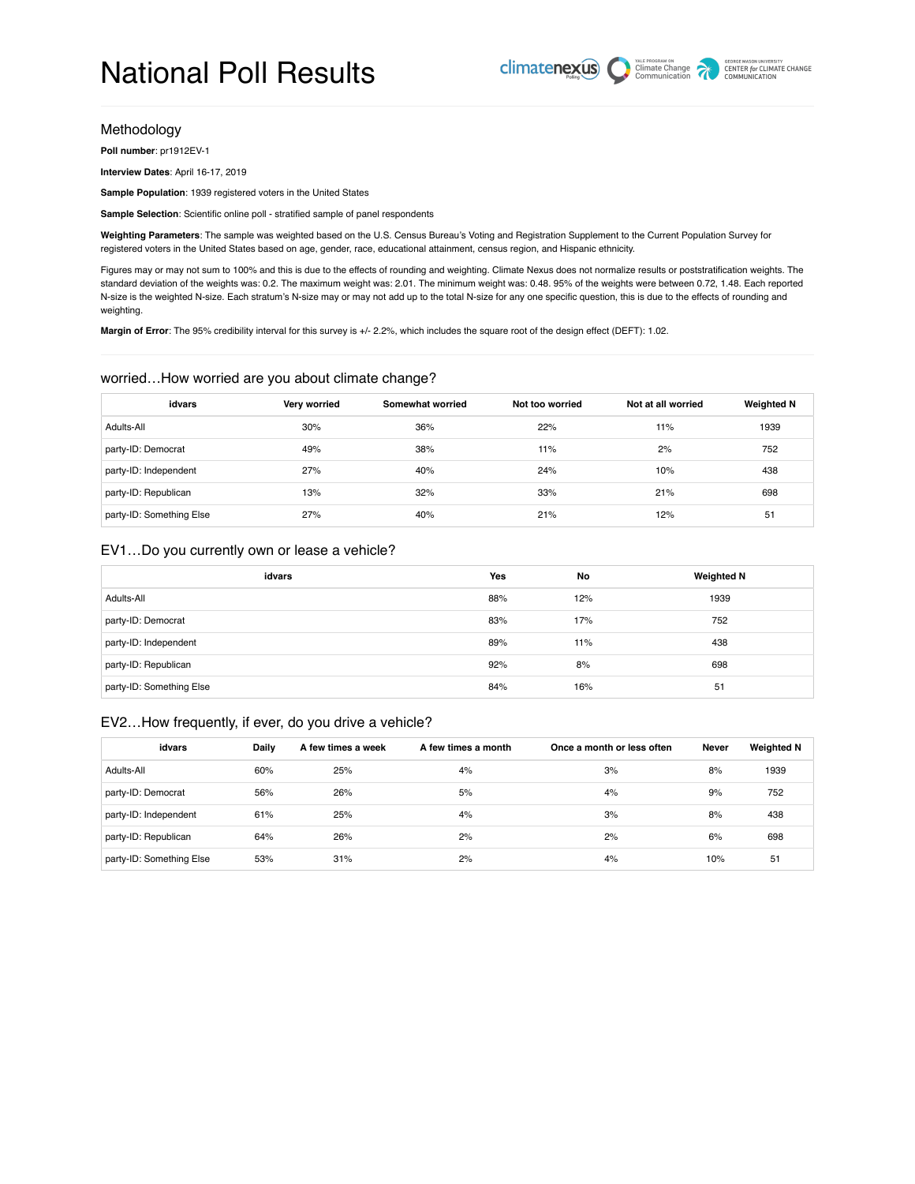#### Methodology

**Poll number**: pr1912EV-1

**Interview Dates**: April 16-17, 2019

**Sample Population**: 1939 registered voters in the United States

**Sample Selection**: Scientific online poll - stratified sample of panel respondents

**Weighting Parameters**: The sample was weighted based on the U.S. Census Bureau's Voting and Registration Supplement to the Current Population Survey for registered voters in the United States based on age, gender, race, educational attainment, census region, and Hispanic ethnicity.

Figures may or may not sum to 100% and this is due to the effects of rounding and weighting. Climate Nexus does not normalize results or poststratification weights. The standard deviation of the weights was: 0.2. The maximum weight was: 2.01. The minimum weight was: 0.48. 95% of the weights were between 0.72, 1.48. Each reported N-size is the weighted N-size. Each stratum's N-size may or may not add up to the total N-size for any one specific question, this is due to the effects of rounding and weighting.

**Margin of Error**: The 95% credibility interval for this survey is +/- 2.2%, which includes the square root of the design effect (DEFT): 1.02.

#### worried…How worried are you about climate change?

| idvars                   | Very worried | Somewhat worried | Not too worried | Not at all worried | <b>Weighted N</b> |
|--------------------------|--------------|------------------|-----------------|--------------------|-------------------|
| Adults-All               | 30%          | 36%              | 22%             | 11%                | 1939              |
| party-ID: Democrat       | 49%          | 38%              | 11%             | 2%                 | 752               |
| party-ID: Independent    | 27%          | 40%              | 24%             | 10%                | 438               |
| party-ID: Republican     | 13%          | 32%              | 33%             | 21%                | 698               |
| party-ID: Something Else | 27%          | 40%              | 21%             | 12%                | 51                |

### EV1…Do you currently own or lease a vehicle?

| idvars                   | <b>Yes</b> | No  | <b>Weighted N</b> |
|--------------------------|------------|-----|-------------------|
| Adults-All               | 88%        | 12% | 1939              |
| party-ID: Democrat       | 83%        | 17% | 752               |
| party-ID: Independent    | 89%        | 11% | 438               |
| party-ID: Republican     | 92%        | 8%  | 698               |
| party-ID: Something Else | 84%        | 16% | 51                |

#### EV2…How frequently, if ever, do you drive a vehicle?

| idvars                   | Daily | A few times a week | A few times a month | Once a month or less often | <b>Never</b> | <b>Weighted N</b> |
|--------------------------|-------|--------------------|---------------------|----------------------------|--------------|-------------------|
| Adults-All               | 60%   | 25%                | 4%                  | 3%                         | 8%           | 1939              |
| party-ID: Democrat       | 56%   | 26%                | 5%                  | 4%                         | 9%           | 752               |
| party-ID: Independent    | 61%   | 25%                | 4%                  | 3%                         | 8%           | 438               |
| party-ID: Republican     | 64%   | 26%                | 2%                  | 2%                         | 6%           | 698               |
| party-ID: Something Else | 53%   | 31%                | 2%                  | 4%                         | 10%          | 51                |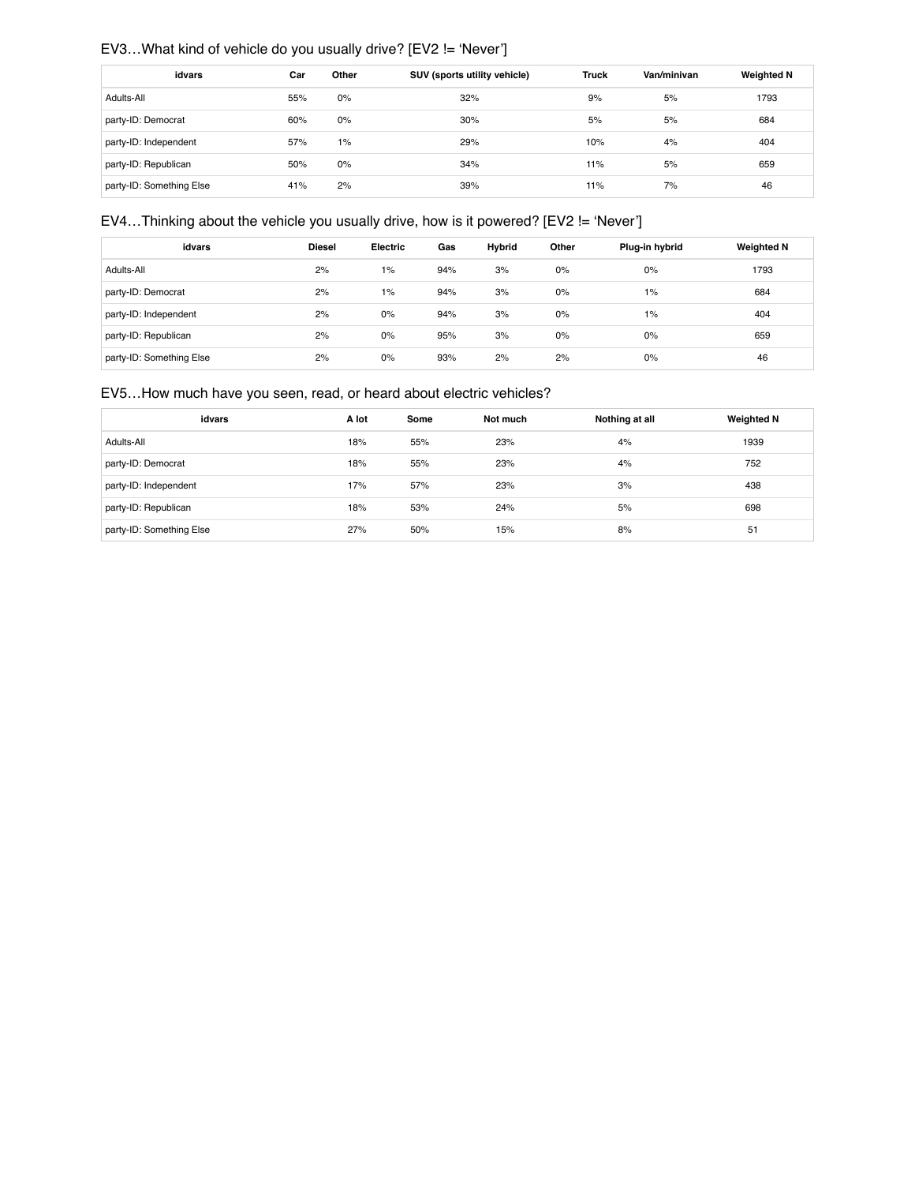# EV3…What kind of vehicle do you usually drive? [EV2 != 'Never']

| idvars                   | Car | Other | SUV (sports utility vehicle) | <b>Truck</b> | Van/minivan | <b>Weighted N</b> |
|--------------------------|-----|-------|------------------------------|--------------|-------------|-------------------|
| Adults-All               | 55% | 0%    | 32%                          | 9%           | 5%          | 1793              |
| party-ID: Democrat       | 60% | 0%    | 30%                          | 5%           | 5%          | 684               |
| party-ID: Independent    | 57% | 1%    | 29%                          | 10%          | 4%          | 404               |
| party-ID: Republican     | 50% | 0%    | 34%                          | 11%          | 5%          | 659               |
| party-ID: Something Else | 41% | 2%    | 39%                          | 11%          | 7%          | 46                |

# EV4…Thinking about the vehicle you usually drive, how is it powered? [EV2 != 'Never']

| idvars                   | <b>Diesel</b> | <b>Electric</b> | Gas | <b>Hybrid</b> | Other | Plug-in hybrid | <b>Weighted N</b> |
|--------------------------|---------------|-----------------|-----|---------------|-------|----------------|-------------------|
| Adults-All               | 2%            | 1%              | 94% | 3%            | 0%    | 0%             | 1793              |
| party-ID: Democrat       | 2%            | 1%              | 94% | 3%            | 0%    | 1%             | 684               |
| party-ID: Independent    | 2%            | 0%              | 94% | 3%            | 0%    | 1%             | 404               |
| party-ID: Republican     | 2%            | 0%              | 95% | 3%            | 0%    | 0%             | 659               |
| party-ID: Something Else | 2%            | 0%              | 93% | 2%            | 2%    | 0%             | 46                |

# EV5…How much have you seen, read, or heard about electric vehicles?

| idvars                   | A lot | Some | Not much | Nothing at all | <b>Weighted N</b> |
|--------------------------|-------|------|----------|----------------|-------------------|
| Adults-All               | 18%   | 55%  | 23%      | 4%             | 1939              |
| party-ID: Democrat       | 18%   | 55%  | 23%      | 4%             | 752               |
| party-ID: Independent    | 17%   | 57%  | 23%      | 3%             | 438               |
| party-ID: Republican     | 18%   | 53%  | 24%      | 5%             | 698               |
| party-ID: Something Else | 27%   | 50%  | 15%      | 8%             | 51                |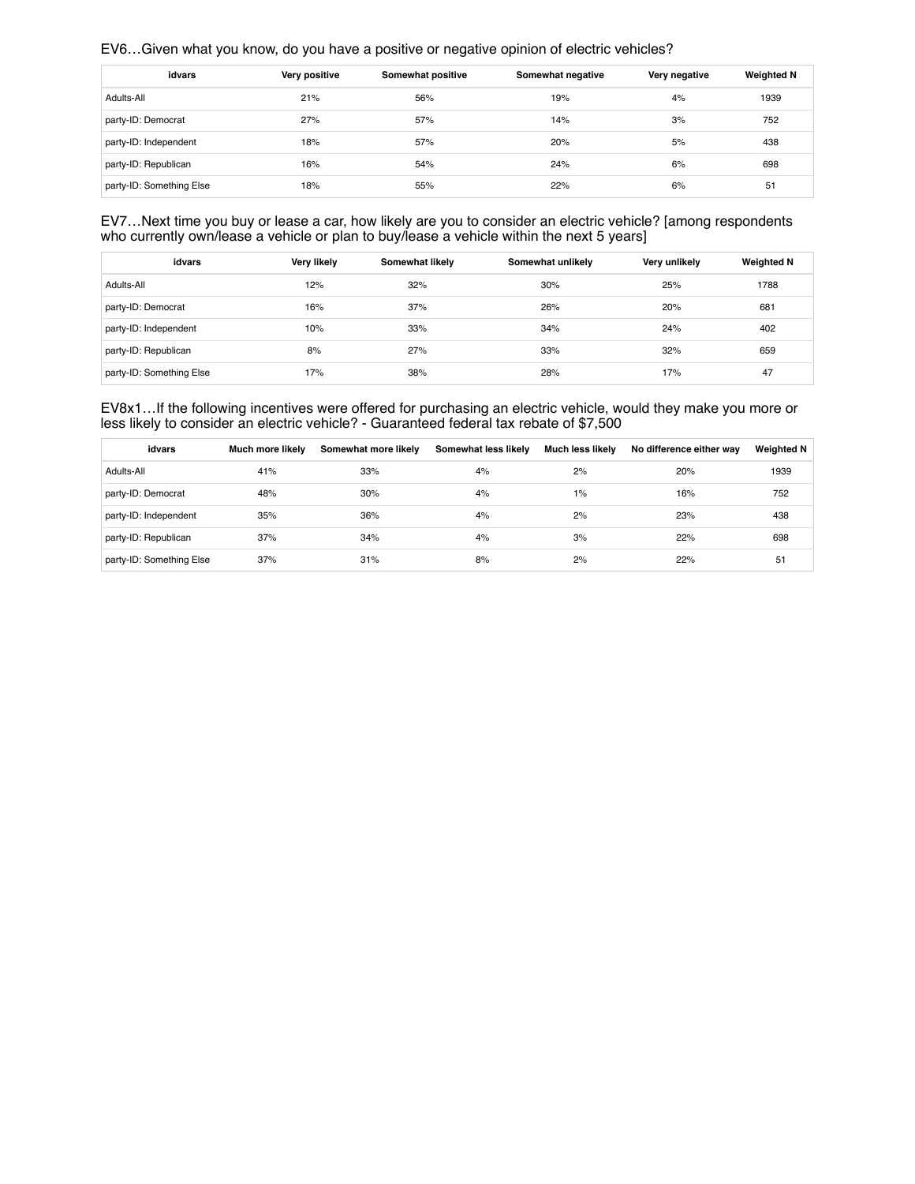### EV6…Given what you know, do you have a positive or negative opinion of electric vehicles?

| idvars                   | Very positive | Somewhat positive | Somewhat negative | Very negative | <b>Weighted N</b> |
|--------------------------|---------------|-------------------|-------------------|---------------|-------------------|
| Adults-All               | 21%           | 56%               | 19%               | 4%            | 1939              |
| party-ID: Democrat       | 27%           | 57%               | 14%               | 3%            | 752               |
| party-ID: Independent    | 18%           | 57%               | 20%               | 5%            | 438               |
| party-ID: Republican     | 16%           | 54%               | 24%               | 6%            | 698               |
| party-ID: Something Else | 18%           | 55%               | 22%               | 6%            | 51                |

EV7…Next time you buy or lease a car, how likely are you to consider an electric vehicle? [among respondents who currently own/lease a vehicle or plan to buy/lease a vehicle within the next 5 years]

| idvars                   | <b>Very likely</b> | Somewhat likely | Somewhat unlikely | Very unlikely | <b>Weighted N</b> |
|--------------------------|--------------------|-----------------|-------------------|---------------|-------------------|
| Adults-All               | 12%                | 32%             | 30%               | 25%           | 1788              |
| party-ID: Democrat       | 16%                | 37%             | 26%               | 20%           | 681               |
| party-ID: Independent    | 10%                | 33%             | 34%               | 24%           | 402               |
| party-ID: Republican     | 8%                 | 27%             | 33%               | 32%           | 659               |
| party-ID: Something Else | 17%                | 38%             | 28%               | 17%           | 47                |

EV8x1…If the following incentives were offered for purchasing an electric vehicle, would they make you more or less likely to consider an electric vehicle? - Guaranteed federal tax rebate of \$7,500

| idvars                   | Much more likely | Somewhat more likely | Somewhat less likely | <b>Much less likely</b> | No difference either way | <b>Weighted N</b> |
|--------------------------|------------------|----------------------|----------------------|-------------------------|--------------------------|-------------------|
| Adults-All               | 41%              | 33%                  | 4%                   | 2%                      | 20%                      | 1939              |
| party-ID: Democrat       | 48%              | 30%                  | 4%                   | $1\%$                   | 16%                      | 752               |
| party-ID: Independent    | 35%              | 36%                  | 4%                   | 2%                      | 23%                      | 438               |
| party-ID: Republican     | 37%              | 34%                  | 4%                   | 3%                      | 22%                      | 698               |
| party-ID: Something Else | 37%              | 31%                  | 8%                   | 2%                      | 22%                      | 51                |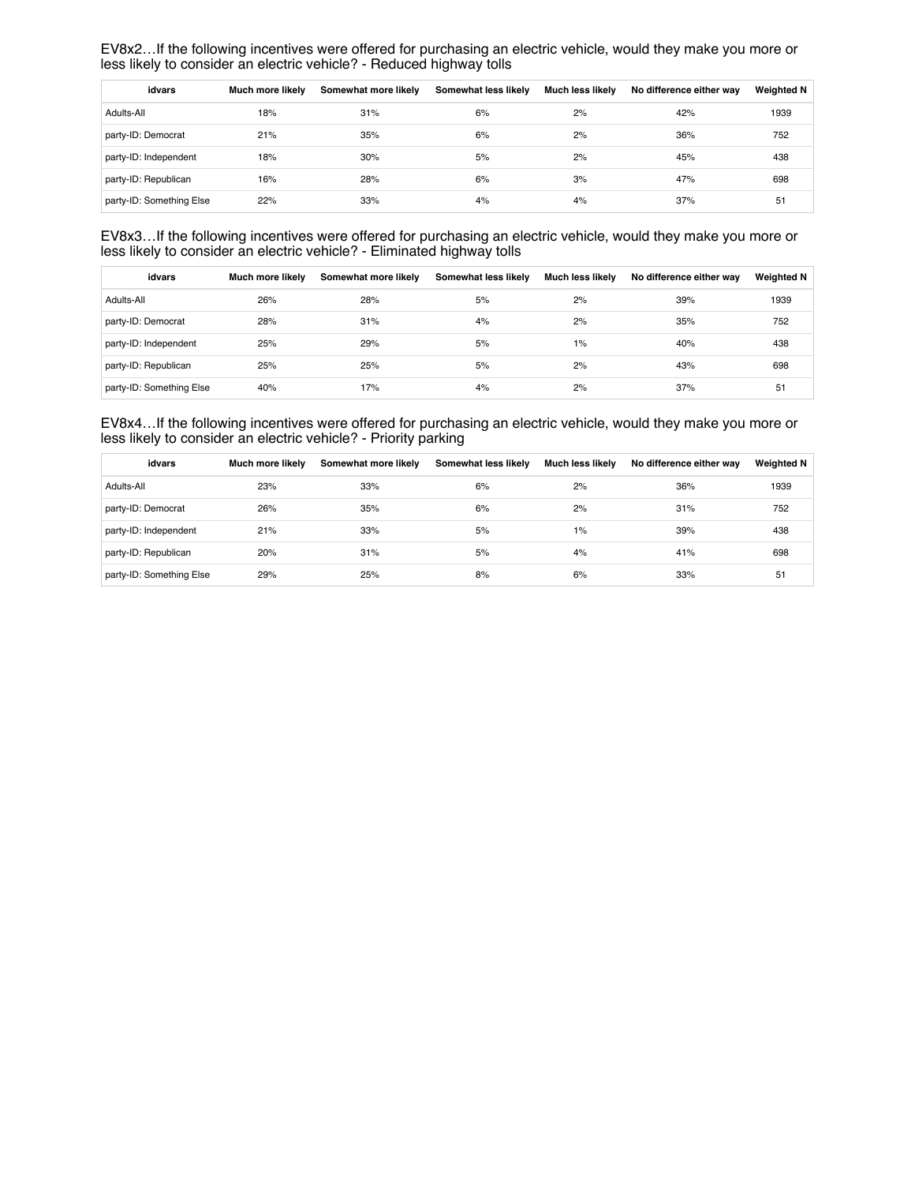EV8x2…If the following incentives were offered for purchasing an electric vehicle, would they make you more or less likely to consider an electric vehicle? - Reduced highway tolls

| idvars                   | Much more likely | Somewhat more likely | Somewhat less likely | Much less likely | No difference either way | <b>Weighted N</b> |
|--------------------------|------------------|----------------------|----------------------|------------------|--------------------------|-------------------|
| Adults-All               | 18%              | 31%                  | 6%                   | 2%               | 42%                      | 1939              |
| party-ID: Democrat       | 21%              | 35%                  | 6%                   | 2%               | 36%                      | 752               |
| party-ID: Independent    | 18%              | 30%                  | 5%                   | 2%               | 45%                      | 438               |
| party-ID: Republican     | 16%              | 28%                  | 6%                   | 3%               | 47%                      | 698               |
| party-ID: Something Else | 22%              | 33%                  | 4%                   | 4%               | 37%                      | 51                |

EV8x3…If the following incentives were offered for purchasing an electric vehicle, would they make you more or less likely to consider an electric vehicle? - Eliminated highway tolls

| idvars                   | Much more likely | Somewhat more likely | Somewhat less likely | Much less likely | No difference either way | <b>Weighted N</b> |
|--------------------------|------------------|----------------------|----------------------|------------------|--------------------------|-------------------|
| Adults-All               | 26%              | 28%                  | 5%                   | 2%               | 39%                      | 1939              |
| party-ID: Democrat       | 28%              | 31%                  | 4%                   | 2%               | 35%                      | 752               |
| party-ID: Independent    | 25%              | 29%                  | 5%                   | 1%               | 40%                      | 438               |
| party-ID: Republican     | 25%              | 25%                  | 5%                   | 2%               | 43%                      | 698               |
| party-ID: Something Else | 40%              | 17%                  | 4%                   | 2%               | 37%                      | 51                |

EV8x4…If the following incentives were offered for purchasing an electric vehicle, would they make you more or less likely to consider an electric vehicle? - Priority parking

| idvars                   | Much more likely | Somewhat more likely | Somewhat less likely | Much less likely | No difference either way | <b>Weighted N</b> |
|--------------------------|------------------|----------------------|----------------------|------------------|--------------------------|-------------------|
| Adults-All               | 23%              | 33%                  | 6%                   | 2%               | 36%                      | 1939              |
| party-ID: Democrat       | 26%              | 35%                  | 6%                   | 2%               | 31%                      | 752               |
| party-ID: Independent    | 21%              | 33%                  | 5%                   | 1%               | 39%                      | 438               |
| party-ID: Republican     | 20%              | 31%                  | 5%                   | 4%               | 41%                      | 698               |
| party-ID: Something Else | 29%              | 25%                  | 8%                   | 6%               | 33%                      | 51                |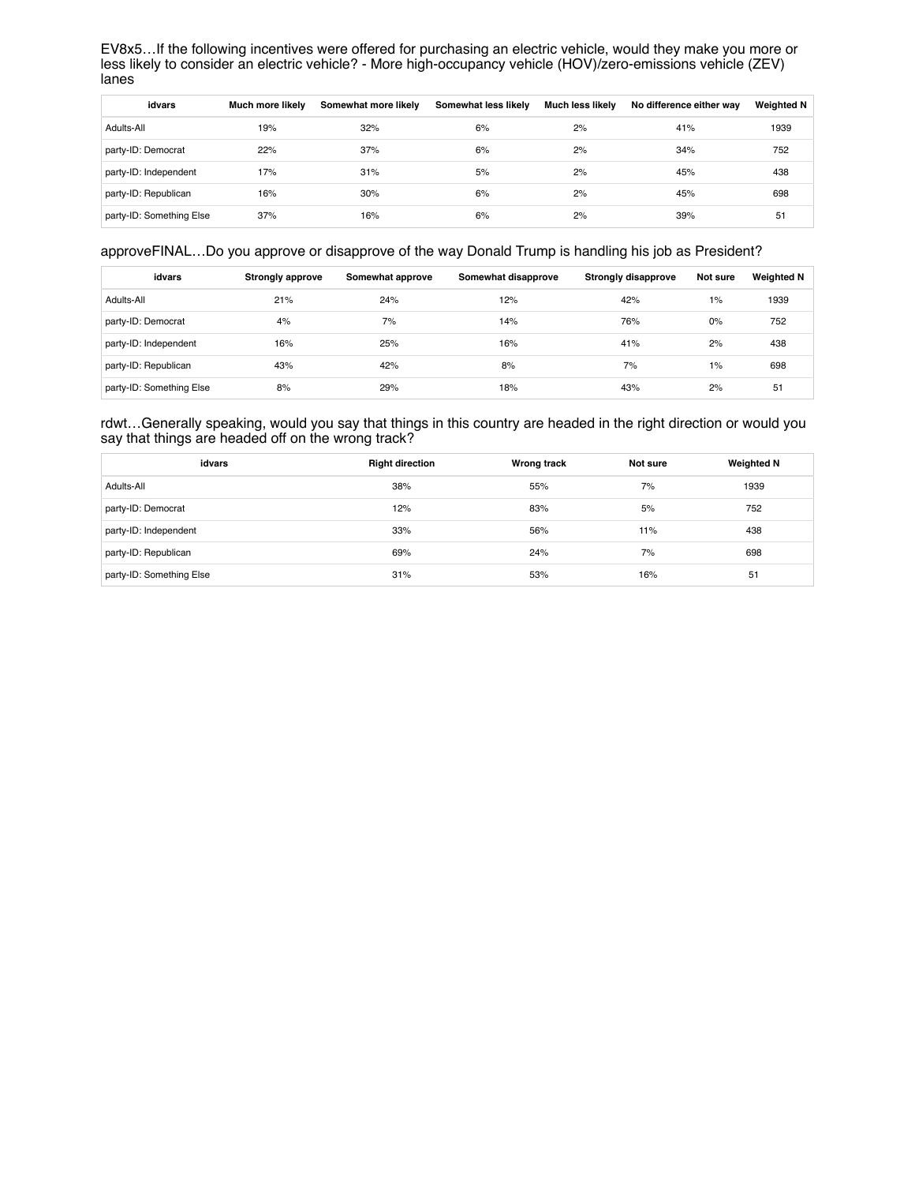EV8x5…If the following incentives were offered for purchasing an electric vehicle, would they make you more or less likely to consider an electric vehicle? - More high-occupancy vehicle (HOV)/zero-emissions vehicle (ZEV) lanes

| idvars                   | Much more likely | Somewhat more likely | Somewhat less likely | <b>Much less likely</b> | No difference either way | <b>Weighted N</b> |
|--------------------------|------------------|----------------------|----------------------|-------------------------|--------------------------|-------------------|
| Adults-All               | 19%              | 32%                  | 6%                   | 2%                      | 41%                      | 1939              |
| party-ID: Democrat       | 22%              | 37%                  | 6%                   | 2%                      | 34%                      | 752               |
| party-ID: Independent    | 17%              | 31%                  | 5%                   | 2%                      | 45%                      | 438               |
| party-ID: Republican     | 16%              | 30%                  | 6%                   | 2%                      | 45%                      | 698               |
| party-ID: Something Else | 37%              | 16%                  | 6%                   | 2%                      | 39%                      | 51                |

## approveFINAL…Do you approve or disapprove of the way Donald Trump is handling his job as President?

| idvars                   | <b>Strongly approve</b> | Somewhat approve | Somewhat disapprove | Strongly disapprove | Not sure | <b>Weighted N</b> |
|--------------------------|-------------------------|------------------|---------------------|---------------------|----------|-------------------|
| Adults-All               | 21%                     | 24%              | 12%                 | 42%                 | 1%       | 1939              |
| party-ID: Democrat       | 4%                      | 7%               | 14%                 | 76%                 | 0%       | 752               |
| party-ID: Independent    | 16%                     | 25%              | 16%                 | 41%                 | 2%       | 438               |
| party-ID: Republican     | 43%                     | 42%              | 8%                  | 7%                  | 1%       | 698               |
| party-ID: Something Else | 8%                      | 29%              | 18%                 | 43%                 | 2%       | 51                |

rdwt…Generally speaking, would you say that things in this country are headed in the right direction or would you say that things are headed off on the wrong track?

| idvars                   | <b>Right direction</b> | Wrong track | Not sure | <b>Weighted N</b> |
|--------------------------|------------------------|-------------|----------|-------------------|
| Adults-All               | 38%                    | 55%         | 7%       | 1939              |
| party-ID: Democrat       | 12%                    | 83%         | 5%       | 752               |
| party-ID: Independent    | 33%                    | 56%         | 11%      | 438               |
| party-ID: Republican     | 69%                    | 24%         | 7%       | 698               |
| party-ID: Something Else | 31%                    | 53%         | 16%      | 51                |